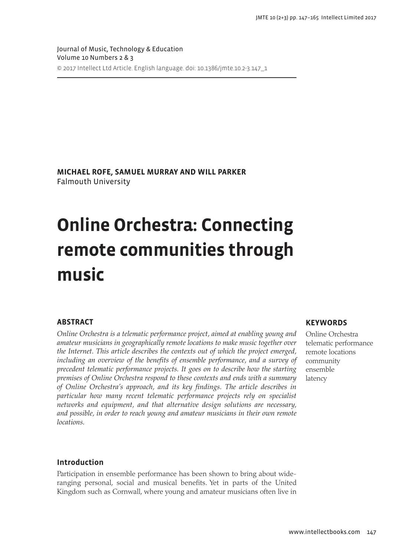Journal of Music, Technology & Education Volume 10 Numbers 2 & 3 © 2017 Intellect Ltd Article. English language. doi: 10.1386/jmte.10.2-3.147\_1

**MICHAEL ROFE, SAMUEL MURRAY AND WILL PARKER** Falmouth University

# **Online Orchestra: Connecting remote communities through music**

# **ABSTRACT**

*Online Orchestra is a telematic performance project, aimed at enabling young and amateur musicians in geographically remote locations to make music together over the Internet. This article describes the contexts out of which the project emerged,*  including an overview of the benefits of ensemble performance, and a survey of *precedent telematic performance projects. It goes on to describe how the starting premises of Online Orchestra respond to these contexts and ends with a summary of Online Orchestra's approach, and its key findings. The article describes in particular how many recent telematic performance projects rely on specialist networks and equipment, and that alternative design solutions are necessary, and possible, in order to reach young and amateur musicians in their own remote locations.*

## **KEYWORDS**

Online Orchestra telematic performance remote locations community ensemble latency

## **Introduction**

Participation in ensemble performance has been shown to bring about wideranging personal, social and musical benefits. Yet in parts of the United Kingdom such as Cornwall, where young and amateur musicians often live in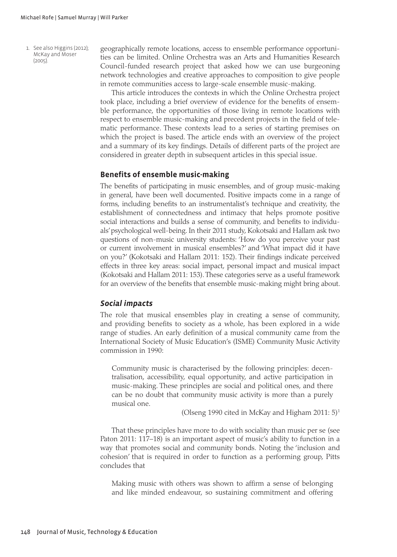1. See also Higgins (2012); McKay and Moser  $(2005)$ .

geographically remote locations, access to ensemble performance opportunities can be limited. Online Orchestra was an Arts and Humanities Research Council-funded research project that asked how we can use burgeoning network technologies and creative approaches to composition to give people in remote communities access to large-scale ensemble music-making.

This article introduces the contexts in which the Online Orchestra project took place, including a brief overview of evidence for the benefits of ensemble performance, the opportunities of those living in remote locations with respect to ensemble music-making and precedent projects in the field of telematic performance. These contexts lead to a series of starting premises on which the project is based. The article ends with an overview of the project and a summary of its key findings. Details of different parts of the project are considered in greater depth in subsequent articles in this special issue.

## **Benefits of ensemble music-making**

The benefits of participating in music ensembles, and of group music-making in general, have been well documented. Positive impacts come in a range of forms, including benefits to an instrumentalist's technique and creativity, the establishment of connectedness and intimacy that helps promote positive social interactions and builds a sense of community, and benefits to individuals' psychological well-being. In their 2011 study, Kokotsaki and Hallam ask two questions of non-music university students: 'How do you perceive your past or current involvement in musical ensembles?' and 'What impact did it have on you?' (Kokotsaki and Hallam 2011: 152). Their findings indicate perceived effects in three key areas: social impact, personal impact and musical impact (Kokotsaki and Hallam 2011: 153). These categories serve as a useful framework for an overview of the benefits that ensemble music-making might bring about.

## *Social impacts*

The role that musical ensembles play in creating a sense of community, and providing benefits to society as a whole, has been explored in a wide range of studies. An early definition of a musical community came from the International Society of Music Education's (ISME) Community Music Activity commission in 1990:

Community music is characterised by the following principles: decentralisation, accessibility, equal opportunity, and active participation in music-making. These principles are social and political ones, and there can be no doubt that community music activity is more than a purely musical one.

(Olseng 1990 cited in McKay and Higham 2011:  $5$ )<sup>1</sup>

That these principles have more to do with sociality than music per se (see Paton 2011: 117–18) is an important aspect of music's ability to function in a way that promotes social and community bonds. Noting the 'inclusion and cohesion' that is required in order to function as a performing group, Pitts concludes that

Making music with others was shown to affirm a sense of belonging and like minded endeavour, so sustaining commitment and offering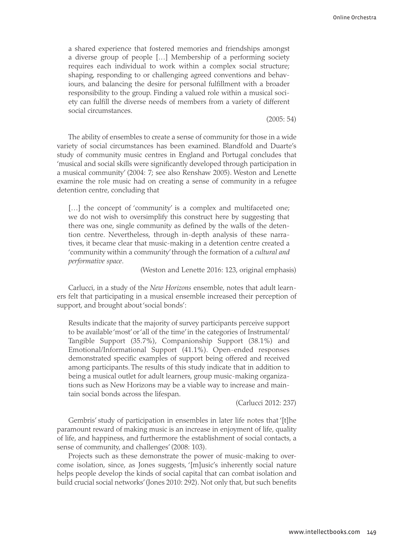a shared experience that fostered memories and friendships amongst a diverse group of people […] Membership of a performing society requires each individual to work within a complex social structure; shaping, responding to or challenging agreed conventions and behaviours, and balancing the desire for personal fulfillment with a broader responsibility to the group. Finding a valued role within a musical society can fulfill the diverse needs of members from a variety of different social circumstances.

(2005: 54)

The ability of ensembles to create a sense of community for those in a wide variety of social circumstances has been examined. Blandfold and Duarte's study of community music centres in England and Portugal concludes that 'musical and social skills were significantly developed through participation in a musical community' (2004: 7; see also Renshaw 2005). Weston and Lenette examine the role music had on creating a sense of community in a refugee detention centre, concluding that

[...] the concept of 'community' is a complex and multifaceted one; we do not wish to oversimplify this construct here by suggesting that there was one, single community as defined by the walls of the detention centre. Nevertheless, through in-depth analysis of these narratives, it became clear that music-making in a detention centre created a 'community within a community' through the formation of a *cultural and performative space*.

(Weston and Lenette 2016: 123, original emphasis)

Carlucci, in a study of the *New Horizons* ensemble, notes that adult learners felt that participating in a musical ensemble increased their perception of support, and brought about 'social bonds':

Results indicate that the majority of survey participants perceive support to be available 'most' or 'all of the time' in the categories of Instrumental/ Tangible Support (35.7%), Companionship Support (38.1%) and Emotional/Informational Support (41.1%). Open-ended responses demonstrated specific examples of support being offered and received among participants. The results of this study indicate that in addition to being a musical outlet for adult learners, group music-making organizations such as New Horizons may be a viable way to increase and maintain social bonds across the lifespan.

(Carlucci 2012: 237)

Gembris' study of participation in ensembles in later life notes that '[t]he paramount reward of making music is an increase in enjoyment of life, quality of life, and happiness, and furthermore the establishment of social contacts, a sense of community, and challenges' (2008: 103).

Projects such as these demonstrate the power of music-making to overcome isolation, since, as Jones suggests, '[m]usic's inherently social nature helps people develop the kinds of social capital that can combat isolation and build crucial social networks' (Jones 2010: 292). Not only that, but such benefits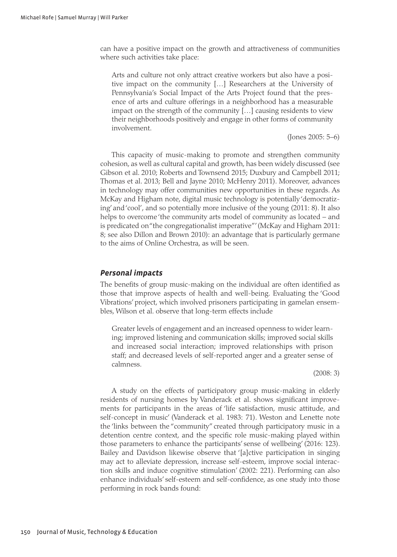can have a positive impact on the growth and attractiveness of communities where such activities take place:

Arts and culture not only attract creative workers but also have a positive impact on the community […] Researchers at the University of Pennsylvania's Social Impact of the Arts Project found that the presence of arts and culture offerings in a neighborhood has a measurable impact on the strength of the community […] causing residents to view their neighborhoods positively and engage in other forms of community involvement.

(Jones 2005: 5–6)

This capacity of music-making to promote and strengthen community cohesion, as well as cultural capital and growth, has been widely discussed (see Gibson et al. 2010; Roberts and Townsend 2015; Duxbury and Campbell 2011; Thomas et al. 2013; Bell and Jayne 2010; McHenry 2011). Moreover, advances in technology may offer communities new opportunities in these regards. As McKay and Higham note, digital music technology is potentially 'democratizing' and 'cool', and so potentially more inclusive of the young (2011: 8). It also helps to overcome 'the community arts model of community as located – and is predicated on "the congregationalist imperative"' (McKay and Higham 2011: 8; see also Dillon and Brown 2010): an advantage that is particularly germane to the aims of Online Orchestra, as will be seen.

## *Personal impacts*

The benefits of group music-making on the individual are often identified as those that improve aspects of health and well-being. Evaluating the 'Good Vibrations' project, which involved prisoners participating in gamelan ensembles, Wilson et al. observe that long-term effects include

Greater levels of engagement and an increased openness to wider learning; improved listening and communication skills; improved social skills and increased social interaction; improved relationships with prison staff; and decreased levels of self-reported anger and a greater sense of calmness.

(2008: 3)

A study on the effects of participatory group music-making in elderly residents of nursing homes by Vanderack et al. shows significant improvements for participants in the areas of 'life satisfaction, music attitude, and self-concept in music' (Vanderack et al. 1983: 71). Weston and Lenette note the 'links between the "community" created through participatory music in a detention centre context, and the specific role music-making played within those parameters to enhance the participants' sense of wellbeing' (2016: 123). Bailey and Davidson likewise observe that '[a]ctive participation in singing may act to alleviate depression, increase self-esteem, improve social interaction skills and induce cognitive stimulation' (2002: 221). Performing can also enhance individuals' self-esteem and self-confidence, as one study into those performing in rock bands found: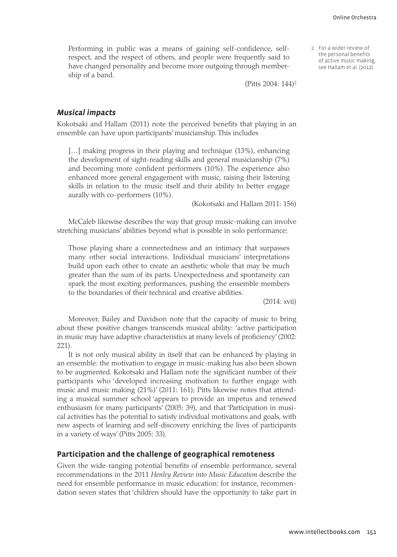2. For a wider review of the personal benefits of active music making, see Hallam et al. (2012).

Performing in public was a means of gaining self-confidence, selfrespect, and the respect of others, and people were frequently said to have changed personality and become more outgoing through membership of a band.

(Pitts 2004: 144)2

#### *Musical impacts*

Kokotsaki and Hallam (2011) note the perceived benefits that playing in an ensemble can have upon participants' musicianship. This includes

[...] making progress in their playing and technique (13%), enhancing the development of sight-reading skills and general musicianship (7%) and becoming more confident performers (10%). The experience also enhanced more general engagement with music, raising their listening skills in relation to the music itself and their ability to better engage aurally with co-performers (10%).

(Kokotsaki and Hallam 2011: 156)

McCaleb likewise describes the way that group music-making can involve stretching musicians' abilities beyond what is possible in solo performance:

Those playing share a connectedness and an intimacy that surpasses many other social interactions. Individual musicians' interpretations build upon each other to create an aesthetic whole that may be much greater than the sum of its parts. Unexpectedness and spontaneity can spark the most exciting performances, pushing the ensemble members to the boundaries of their technical and creative abilities.

(2014: xvii)

Moreover, Bailey and Davidson note that the capacity of music to bring about these positive changes transcends musical ability: 'active participation in music may have adaptive characteristics at many levels of proficiency' (2002: 221).

It is not only musical ability in itself that can be enhanced by playing in an ensemble: the motivation to engage in music-making has also been shown to be augmented. Kokotsaki and Hallam note the significant number of their participants who 'developed increasing motivation to further engage with music and music making (21%)' (2011: 161); Pitts likewise notes that attending a musical summer school 'appears to provide an impetus and renewed enthusiasm for many participants' (2005: 39), and that 'Participation in musical activities has the potential to satisfy individual motivations and goals, with new aspects of learning and self-discovery enriching the lives of participants in a variety of ways' (Pitts 2005: 33).

### **Participation and the challenge of geographical remoteness**

Given the wide-ranging potential benefits of ensemble performance, several recommendations in the 2011 *Henley Review into Music Education* describe the need for ensemble performance in music education: for instance, recommendation seven states that 'children should have the opportunity to take part in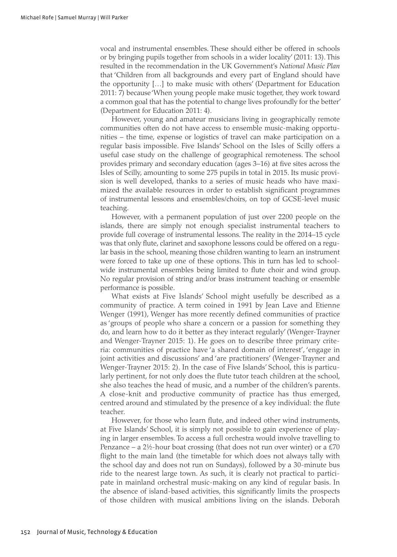vocal and instrumental ensembles. These should either be offered in schools or by bringing pupils together from schools in a wider locality' (2011: 13). This resulted in the recommendation in the UK Government's *National Music Plan* that 'Children from all backgrounds and every part of England should have the opportunity […] to make music with others' (Department for Education 2011: 7) because 'When young people make music together, they work toward a common goal that has the potential to change lives profoundly for the better' (Department for Education 2011: 4).

However, young and amateur musicians living in geographically remote communities often do not have access to ensemble music-making opportunities – the time, expense or logistics of travel can make participation on a regular basis impossible. Five Islands' School on the Isles of Scilly offers a useful case study on the challenge of geographical remoteness. The school provides primary and secondary education (ages 3–16) at five sites across the Isles of Scilly, amounting to some 275 pupils in total in 2015. Its music provision is well developed, thanks to a series of music heads who have maximized the available resources in order to establish significant programmes of instrumental lessons and ensembles/choirs, on top of GCSE-level music teaching.

However, with a permanent population of just over 2200 people on the islands, there are simply not enough specialist instrumental teachers to provide full coverage of instrumental lessons. The reality in the 2014–15 cycle was that only flute, clarinet and saxophone lessons could be offered on a regular basis in the school, meaning those children wanting to learn an instrument were forced to take up one of these options. This in turn has led to schoolwide instrumental ensembles being limited to flute choir and wind group. No regular provision of string and/or brass instrument teaching or ensemble performance is possible.

What exists at Five Islands' School might usefully be described as a community of practice. A term coined in 1991 by Jean Lave and Etienne Wenger (1991), Wenger has more recently defined communities of practice as 'groups of people who share a concern or a passion for something they do, and learn how to do it better as they interact regularly' (Wenger-Trayner and Wenger-Trayner 2015: 1). He goes on to describe three primary criteria: communities of practice have 'a shared domain of interest', 'engage in joint activities and discussions' and 'are practitioners' (Wenger-Trayner and Wenger-Trayner 2015: 2). In the case of Five Islands' School, this is particularly pertinent, for not only does the flute tutor teach children at the school, she also teaches the head of music, and a number of the children's parents. A close-knit and productive community of practice has thus emerged, centred around and stimulated by the presence of a key individual: the flute teacher.

However, for those who learn flute, and indeed other wind instruments, at Five Islands' School, it is simply not possible to gain experience of playing in larger ensembles. To access a full orchestra would involve travelling to Penzance – a 2½-hour boat crossing (that does not run over winter) or a £70 flight to the main land (the timetable for which does not always tally with the school day and does not run on Sundays), followed by a 30-minute bus ride to the nearest large town. As such, it is clearly not practical to participate in mainland orchestral music-making on any kind of regular basis. In the absence of island-based activities, this significantly limits the prospects of those children with musical ambitions living on the islands. Deborah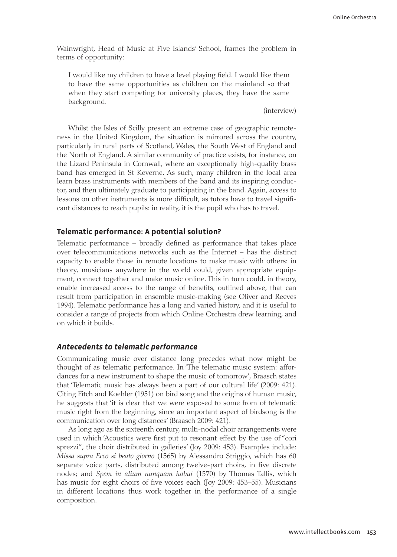Wainwright, Head of Music at Five Islands' School, frames the problem in terms of opportunity:

I would like my children to have a level playing field. I would like them to have the same opportunities as children on the mainland so that when they start competing for university places, they have the same background.

(interview)

Whilst the Isles of Scilly present an extreme case of geographic remoteness in the United Kingdom, the situation is mirrored across the country, particularly in rural parts of Scotland, Wales, the South West of England and the North of England. A similar community of practice exists, for instance, on the Lizard Peninsula in Cornwall, where an exceptionally high-quality brass band has emerged in St Keverne. As such, many children in the local area learn brass instruments with members of the band and its inspiring conductor, and then ultimately graduate to participating in the band. Again, access to lessons on other instruments is more difficult, as tutors have to travel significant distances to reach pupils: in reality, it is the pupil who has to travel.

## **Telematic performance: A potential solution?**

Telematic performance – broadly defined as performance that takes place over telecommunications networks such as the Internet – has the distinct capacity to enable those in remote locations to make music with others: in theory, musicians anywhere in the world could, given appropriate equipment, connect together and make music online. This in turn could, in theory, enable increased access to the range of benefits, outlined above, that can result from participation in ensemble music-making (see Oliver and Reeves 1994). Telematic performance has a long and varied history, and it is useful to consider a range of projects from which Online Orchestra drew learning, and on which it builds.

# *Antecedents to telematic performance*

Communicating music over distance long precedes what now might be thought of as telematic performance. In 'The telematic music system: affordances for a new instrument to shape the music of tomorrow', Braasch states that 'Telematic music has always been a part of our cultural life' (2009: 421). Citing Fitch and Koehler (1951) on bird song and the origins of human music, he suggests that 'it is clear that we were exposed to some from of telematic music right from the beginning, since an important aspect of birdsong is the communication over long distances' (Braasch 2009: 421).

As long ago as the sixteenth century, multi-nodal choir arrangements were used in which 'Acoustics were first put to resonant effect by the use of "cori sprezzi", the choir distributed in galleries' (Joy 2009: 453). Examples include: *Missa supra Ecco si beato giorno* (1565) by Alessandro Striggio, which has 60 separate voice parts, distributed among twelve-part choirs, in five discrete nodes; and *Spem in alium nunquam habui* (1570) by Thomas Tallis, which has music for eight choirs of five voices each (Joy 2009: 453–55). Musicians in different locations thus work together in the performance of a single composition.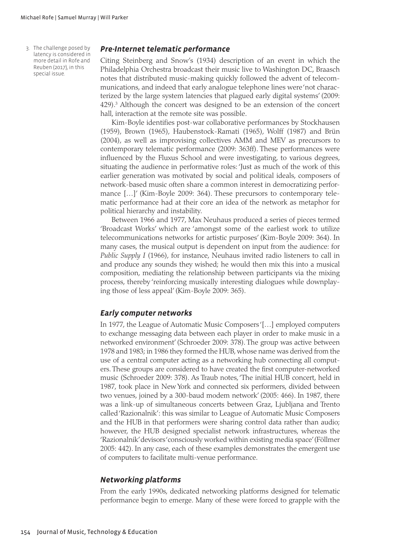3. The challenge posed by latency is considered in more detail in Rofe and Reuben (2017), in this special issue.

# *Pre-Internet telematic performance*

Citing Steinberg and Snow's (1934) description of an event in which the Philadelphia Orchestra broadcast their music live to Washington DC, Braasch notes that distributed music-making quickly followed the advent of telecommunications, and indeed that early analogue telephone lines were 'not characterized by the large system latencies that plagued early digital systems' (2009: 429).<sup>3</sup> Although the concert was designed to be an extension of the concert hall, interaction at the remote site was possible.

Kim-Boyle identifies post-war collaborative performances by Stockhausen (1959), Brown (1965), Haubenstock-Ramati (1965), Wolff (1987) and Brün (2004), as well as improvising collectives AMM and MEV as precursors to contemporary telematic performance (2009: 363ff). These performances were influenced by the Fluxus School and were investigating, to various degrees, situating the audience in performative roles: 'Just as much of the work of this earlier generation was motivated by social and political ideals, composers of network-based music often share a common interest in democratizing performance […]' (Kim-Boyle 2009: 364). These precursors to contemporary telematic performance had at their core an idea of the network as metaphor for political hierarchy and instability.

Between 1966 and 1977, Max Neuhaus produced a series of pieces termed 'Broadcast Works' which are 'amongst some of the earliest work to utilize telecommunications networks for artistic purposes' (Kim-Boyle 2009: 364). In many cases, the musical output is dependent on input from the audience: for *Public Supply I* (1966), for instance, Neuhaus invited radio listeners to call in and produce any sounds they wished; he would then mix this into a musical composition, mediating the relationship between participants via the mixing process, thereby 'reinforcing musically interesting dialogues while downplaying those of less appeal' (Kim-Boyle 2009: 365).

# *Early computer networks*

In 1977, the League of Automatic Music Composers '[…] employed computers to exchange messaging data between each player in order to make music in a networked environment' (Schroeder 2009: 378). The group was active between 1978 and 1983; in 1986 they formed the HUB, whose name was derived from the use of a central computer acting as a networking hub connecting all computers. These groups are considered to have created the first computer-networked music (Schroeder 2009: 378). As Traub notes, 'The initial HUB concert, held in 1987, took place in New York and connected six performers, divided between two venues, joined by a 300-baud modem network' (2005: 466). In 1987, there was a link-up of simultaneous concerts between Graz, Ljubljana and Trento called 'Razionalnik': this was similar to League of Automatic Music Composers and the HUB in that performers were sharing control data rather than audio; however, the HUB designed specialist network infrastructures, whereas the 'Razionalnik' devisors 'consciously worked within existing media space' (Föllmer 2005: 442). In any case, each of these examples demonstrates the emergent use of computers to facilitate multi-venue performance.

## *Networking platforms*

From the early 1990s, dedicated networking platforms designed for telematic performance begin to emerge. Many of these were forced to grapple with the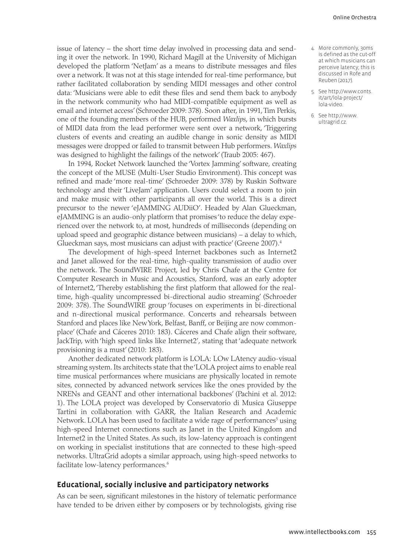issue of latency – the short time delay involved in processing data and sending it over the network. In 1990, Richard Magill at the University of Michigan developed the platform 'NetJam' as a means to distribute messages and files over a network. It was not at this stage intended for real-time performance, but rather facilitated collaboration by sending MIDI messages and other control data: 'Musicians were able to edit these files and send them back to anybody in the network community who had MIDI-compatible equipment as well as email and internet access' (Schroeder 2009: 378). Soon after, in 1991, Tim Perkis, one of the founding members of the HUB, performed *Waxlips*, in which bursts of MIDI data from the lead performer were sent over a network, 'Triggering clusters of events and creating an audible change in sonic density as MIDI messages were dropped or failed to transmit between Hub performers. *Waxlips* was designed to highlight the failings of the network' (Traub 2005: 467).

In 1994, Rocket Network launched the 'Vortex Jamming' software, creating the concept of the MUSE (Multi-User Studio Environment). This concept was refined and made 'more real-time' (Schroeder 2009: 378) by Ruskin Software technology and their 'LiveJam' application. Users could select a room to join and make music with other participants all over the world. This is a direct precursor to the newer 'eJAMMING AUDiiO'. Headed by Alan Glueckman, eJAMMING is an audio-only platform that promises 'to reduce the delay experienced over the network to, at most, hundreds of milliseconds (depending on upload speed and geographic distance between musicians) – a delay to which, Glueckman says, most musicians can adjust with practice' (Greene 2007).4

The development of high-speed Internet backbones such as Internet2 and Janet allowed for the real-time, high-quality transmission of audio over the network. The SoundWIRE Project, led by Chris Chafe at the Centre for Computer Research in Music and Acoustics, Stanford, was an early adopter of Internet2, 'Thereby establishing the first platform that allowed for the realtime, high-quality uncompressed bi-directional audio streaming' (Schroeder 2009: 378). The SoundWIRE group 'focuses on experiments in bi-directional and n-directional musical performance. Concerts and rehearsals between Stanford and places like New York, Belfast, Banff, or Beijing are now commonplace' (Chafe and Cáceres 2010: 183). Cáceres and Chafe align their software, JackTrip, with 'high speed links like Internet2', stating that 'adequate network provisioning is a must' (2010: 183).

Another dedicated network platform is LOLA: LOw LAtency audio-visual streaming system. Its architects state that the 'LOLA project aims to enable real time musical performances where musicians are physically located in remote sites, connected by advanced network services like the ones provided by the NRENs and GEANT and other international backbones' (Pachini et al. 2012: 1). The LOLA project was developed by Conservatorio di Musica Giuseppe Tartini in collaboration with GARR, the Italian Research and Academic Network. LOLA has been used to facilitate a wide rage of performances<sup>5</sup> using high-speed Internet connections such as Janet in the United Kingdom and Internet2 in the United States. As such, its low-latency approach is contingent on working in specialist institutions that are connected to these high-speed networks. UltraGrid adopts a similar approach, using high-speed networks to facilitate low-latency performances.<sup>6</sup>

## **Educational, socially inclusive and participatory networks**

As can be seen, significant milestones in the history of telematic performance have tended to be driven either by composers or by technologists, giving rise

- 4. More commonly, 30ms is defined as the cut-off at which musicians can perceive latency; this is discussed in Rofe and Reuben (2017).
- 5. See [http://www.conts.](http://www.conts.it/art/lola-project/lola-video) [it/art/lola-project/](http://www.conts.it/art/lola-project/lola-video) [lola-video](http://www.conts.it/art/lola-project/lola-video).
- 6. See [http://www.](http://www.ultragrid.cz) [ultragrid.cz.](http://www.ultragrid.cz)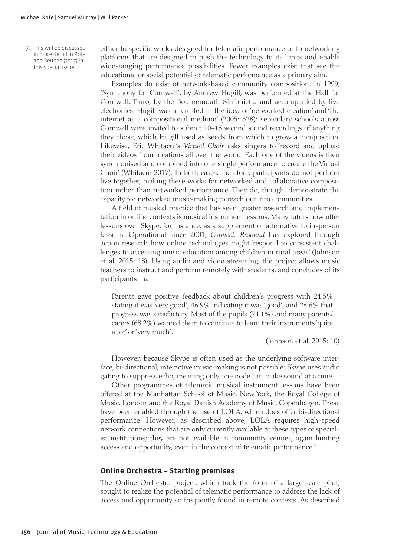7. This will be discussed in more detail in Rofe and Reuben (2017) in this special issue.

either to specific works designed for telematic performance or to networking platforms that are designed to push the technology to its limits and enable wide-ranging performance possibilities. Fewer examples exist that see the educational or social potential of telematic performance as a primary aim.

Examples do exist of network-based community composition. In 1999, 'Symphony for Cornwall', by Andrew Hugill, was performed at the Hall for Cornwall, Truro, by the Bournemouth Sinfonietta and accompanied by live electronics. Hugill was interested in the idea of 'networked creation' and 'the internet as a compositional medium' (2005: 528): secondary schools across Cornwall were invited to submit 10–15 second sound recordings of anything they chose, which Hugill used as 'seeds' from which to grow a composition. Likewise, Eric Whitacre's *Virtual Choir* asks singers to 'record and upload their videos from locations all over the world. Each one of the videos is then synchronised and combined into one single performance to create the Virtual Choir' (Whitacre 2017). In both cases, therefore, participants do not perform live together, making these works for networked and collaborative composition rather than networked performance. They do, though, demonstrate the capacity for networked music-making to reach out into communities.

A field of musical practice that has seen greater research and implementation in online contexts is musical instrument lessons. Many tutors now offer lessons over Skype, for instance, as a supplement or alternative to in-person lessons. Operational since 2001, *Connect: Resound* has explored through action research how online technologies might 'respond to consistent challenges to accessing music education among children in rural areas' (Johnson et al. 2015: 18). Using audio and video streaming, the project allows music teachers to instruct and perform remotely with students, and concludes of its participants that

Parents gave positive feedback about children's progress with 24.5% stating it was 'very good', 46.9% indicating it was 'good', and 28.6% that progress was satisfactory. Most of the pupils (74.1%) and many parents/ carers (68.2%) wanted them to continue to learn their instruments 'quite a lot' or 'very much'.

(Johnson et al. 2015: 10)

However, because Skype is often used as the underlying software interface, bi-directional, interactive music-making is not possible: Skype uses audio gating to suppress echo, meaning only one node can make sound at a time.

Other programmes of telematic musical instrument lessons have been offered at the Manhattan School of Music, New York, the Royal College of Music, London and the Royal Danish Academy of Music, Copenhagen. These have been enabled through the use of LOLA, which does offer bi-directional performance. However, as described above, LOLA requires high-speed network connections that are only currently available at these types of specialist institutions; they are not available in community venues, again limiting access and opportunity, even in the context of telematic performance.<sup>7</sup>

#### **Online Orchestra – Starting premises**

The Online Orchestra project, which took the form of a large-scale pilot, sought to realize the potential of telematic performance to address the lack of access and opportunity so frequently found in remote contexts. As described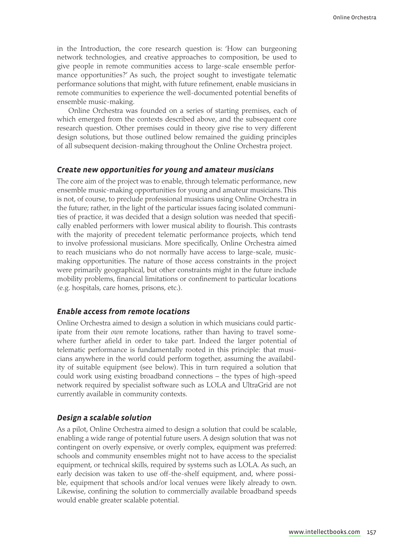in the Introduction, the core research question is: 'How can burgeoning network technologies, and creative approaches to composition, be used to give people in remote communities access to large-scale ensemble performance opportunities?' As such, the project sought to investigate telematic performance solutions that might, with future refinement, enable musicians in remote communities to experience the well-documented potential benefits of ensemble music-making.

Online Orchestra was founded on a series of starting premises, each of which emerged from the contexts described above, and the subsequent core research question. Other premises could in theory give rise to very different design solutions, but those outlined below remained the guiding principles of all subsequent decision-making throughout the Online Orchestra project.

### *Create new opportunities for young and amateur musicians*

The core aim of the project was to enable, through telematic performance, new ensemble music-making opportunities for young and amateur musicians. This is not, of course, to preclude professional musicians using Online Orchestra in the future; rather, in the light of the particular issues facing isolated communities of practice, it was decided that a design solution was needed that specifically enabled performers with lower musical ability to flourish. This contrasts with the majority of precedent telematic performance projects, which tend to involve professional musicians. More specifically, Online Orchestra aimed to reach musicians who do not normally have access to large-scale, musicmaking opportunities. The nature of those access constraints in the project were primarily geographical, but other constraints might in the future include mobility problems, financial limitations or confinement to particular locations (e.g. hospitals, care homes, prisons, etc.).

# *Enable access from remote locations*

Online Orchestra aimed to design a solution in which musicians could participate from their *own* remote locations, rather than having to travel somewhere further afield in order to take part. Indeed the larger potential of telematic performance is fundamentally rooted in this principle: that musicians anywhere in the world could perform together, assuming the availability of suitable equipment (see below). This in turn required a solution that could work using existing broadband connections – the types of high-speed network required by specialist software such as LOLA and UltraGrid are not currently available in community contexts.

### *Design a scalable solution*

As a pilot, Online Orchestra aimed to design a solution that could be scalable, enabling a wide range of potential future users. A design solution that was not contingent on overly expensive, or overly complex, equipment was preferred: schools and community ensembles might not to have access to the specialist equipment, or technical skills, required by systems such as LOLA. As such, an early decision was taken to use off-the-shelf equipment, and, where possible, equipment that schools and/or local venues were likely already to own. Likewise, confining the solution to commercially available broadband speeds would enable greater scalable potential.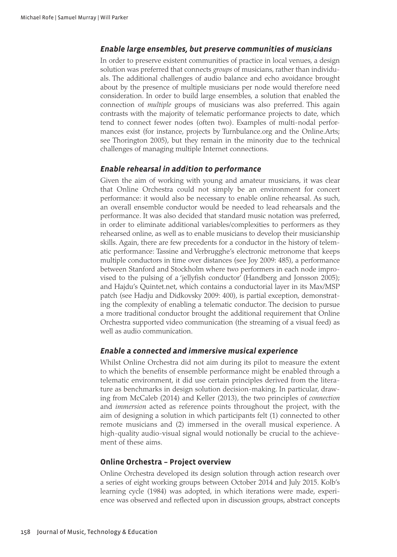# *Enable large ensembles, but preserve communities of musicians*

In order to preserve existent communities of practice in local venues, a design solution was preferred that connects *groups* of musicians, rather than individuals. The additional challenges of audio balance and echo avoidance brought about by the presence of multiple musicians per node would therefore need consideration. In order to build large ensembles, a solution that enabled the connection of *multiple* groups of musicians was also preferred. This again contrasts with the majority of telematic performance projects to date, which tend to connect fewer nodes (often two). Examples of multi-nodal performances exist (for instance, projects by <Turnbulance.org> and the <Online.Arts>; see Thorington 2005), but they remain in the minority due to the technical challenges of managing multiple Internet connections.

# *Enable rehearsal in addition to performance*

Given the aim of working with young and amateur musicians, it was clear that Online Orchestra could not simply be an environment for concert performance: it would also be necessary to enable online rehearsal. As such, an overall ensemble conductor would be needed to lead rehearsals and the performance. It was also decided that standard music notation was preferred, in order to eliminate additional variables/complexities to performers as they rehearsed online, as well as to enable musicians to develop their musicianship skills. Again, there are few precedents for a conductor in the history of telematic performance: Tassine and Verbrugghe's electronic metronome that keeps multiple conductors in time over distances (see Joy 2009: 485), a performance between Stanford and Stockholm where two performers in each node improvised to the pulsing of a 'jellyfish conductor' (Handberg and Jonsson 2005); and Hajdu's <Quintet.net>, which contains a conductorial layer in its Max/MSP patch (see Hadju and Didkovsky 2009: 400), is partial exception, demonstrating the complexity of enabling a telematic conductor. The decision to pursue a more traditional conductor brought the additional requirement that Online Orchestra supported video communication (the streaming of a visual feed) as well as audio communication.

# *Enable a connected and immersive musical experience*

Whilst Online Orchestra did not aim during its pilot to measure the extent to which the benefits of ensemble performance might be enabled through a telematic environment, it did use certain principles derived from the literature as benchmarks in design solution decision-making. In particular, drawing from McCaleb (2014) and Keller (2013), the two principles of *connection* and *immersion* acted as reference points throughout the project, with the aim of designing a solution in which participants felt (1) connected to other remote musicians and (2) immersed in the overall musical experience. A high-quality audio-visual signal would notionally be crucial to the achievement of these aims.

## **Online Orchestra – Project overview**

Online Orchestra developed its design solution through action research over a series of eight working groups between October 2014 and July 2015. Kolb's learning cycle (1984) was adopted, in which iterations were made, experience was observed and reflected upon in discussion groups, abstract concepts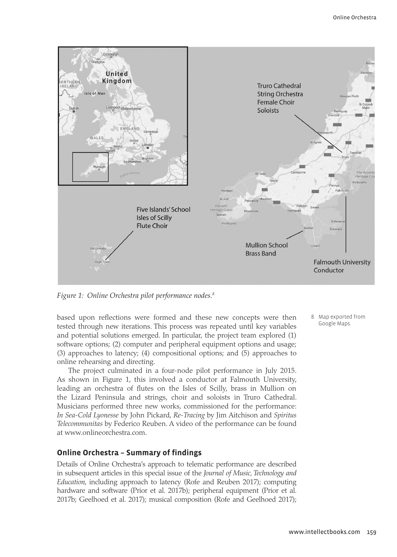

*Figure 1: Online Orchestra pilot performance nodes.8*

based upon reflections were formed and these new concepts were then tested through new iterations. This process was repeated until key variables and potential solutions emerged. In particular, the project team explored (1) software options; (2) computer and peripheral equipment options and usage; (3) approaches to latency; (4) compositional options; and (5) approaches to online rehearsing and directing.

The project culminated in a four-node pilot performance in July 2015. As shown in Figure 1, this involved a conductor at Falmouth University, leading an orchestra of flutes on the Isles of Scilly, brass in Mullion on the Lizard Peninsula and strings, choir and soloists in Truro Cathedral. Musicians performed three new works, commissioned for the performance: *In Sea-Cold Lyonesse* by John Pickard, *Re-Tracing* by Jim Aitchison and *Spiritus Telecommunitas* by Federico Reuben. A video of the performance can be found at <www.onlineorchestra.com>.

# **Online Orchestra – Summary of findings**

Details of Online Orchestra's approach to telematic performance are described in subsequent articles in this special issue of the *Journal of Music, Technology and Education*, including approach to latency (Rofe and Reuben 2017); computing hardware and software (Prior et al. 2017b); peripheral equipment (Prior et al. 2017b; Geelhoed et al. 2017); musical composition (Rofe and Geelhoed 2017); 8. Map exported from Google Maps.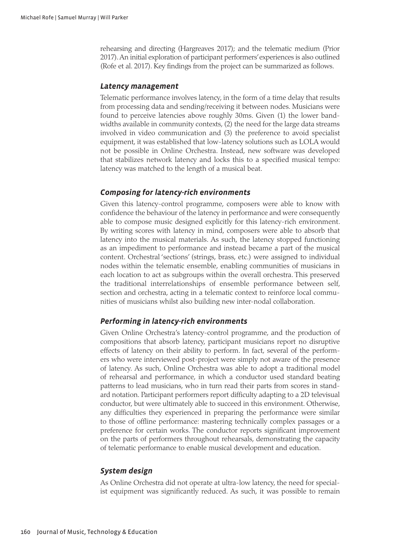rehearsing and directing (Hargreaves 2017); and the telematic medium (Prior 2017). An initial exploration of participant performers' experiences is also outlined (Rofe et al. 2017). Key findings from the project can be summarized as follows.

#### *Latency management*

Telematic performance involves latency, in the form of a time delay that results from processing data and sending/receiving it between nodes. Musicians were found to perceive latencies above roughly 30ms. Given (1) the lower bandwidths available in community contexts, (2) the need for the large data streams involved in video communication and (3) the preference to avoid specialist equipment, it was established that low-latency solutions such as LOLA would not be possible in Online Orchestra. Instead, new software was developed that stabilizes network latency and locks this to a specified musical tempo: latency was matched to the length of a musical beat.

# *Composing for latency-rich environments*

Given this latency-control programme, composers were able to know with confidence the behaviour of the latency in performance and were consequently able to compose music designed explicitly for this latency-rich environment. By writing scores with latency in mind, composers were able to absorb that latency into the musical materials. As such, the latency stopped functioning as an impediment to performance and instead became a part of the musical content. Orchestral 'sections' (strings, brass, etc.) were assigned to individual nodes within the telematic ensemble, enabling communities of musicians in each location to act as subgroups within the overall orchestra. This preserved the traditional interrelationships of ensemble performance between self, section and orchestra, acting in a telematic context to reinforce local communities of musicians whilst also building new inter-nodal collaboration.

# *Performing in latency-rich environments*

Given Online Orchestra's latency-control programme, and the production of compositions that absorb latency, participant musicians report no disruptive effects of latency on their ability to perform. In fact, several of the performers who were interviewed post-project were simply not aware of the presence of latency. As such, Online Orchestra was able to adopt a traditional model of rehearsal and performance, in which a conductor used standard beating patterns to lead musicians, who in turn read their parts from scores in standard notation. Participant performers report difficulty adapting to a 2D televisual conductor, but were ultimately able to succeed in this environment. Otherwise, any difficulties they experienced in preparing the performance were similar to those of offline performance: mastering technically complex passages or a preference for certain works. The conductor reports significant improvement on the parts of performers throughout rehearsals, demonstrating the capacity of telematic performance to enable musical development and education.

## *System design*

As Online Orchestra did not operate at ultra-low latency, the need for specialist equipment was significantly reduced. As such, it was possible to remain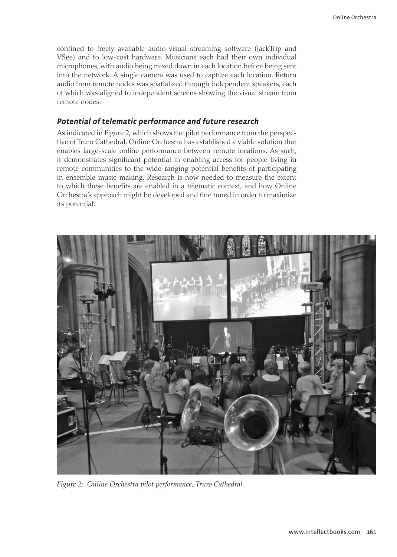confined to freely available audio-visual streaming software (JackTrip and VSee) and to low-cost hardware. Musicians each had their own individual microphones, with audio being mixed down in each location before being sent into the network. A single camera was used to capture each location. Return audio from remote nodes was spatialized through independent speakers, each of which was aligned to independent screens showing the visual stream from remote nodes.

### *Potential of telematic performance and future research*

As indicated in Figure 2, which shows the pilot performance from the perspective of Truro Cathedral, Online Orchestra has established a viable solution that enables large-scale online performance between remote locations. As such, it demonstrates significant potential in enabling access for people living in remote communities to the wide-ranging potential benefits of participating in ensemble music-making. Research is now needed to measure the extent to which these benefits are enabled in a telematic context, and how Online Orchestra's approach might be developed and fine tuned in order to maximize its potential.



*Figure 2: Online Orchestra pilot performance, Truro Cathedral.*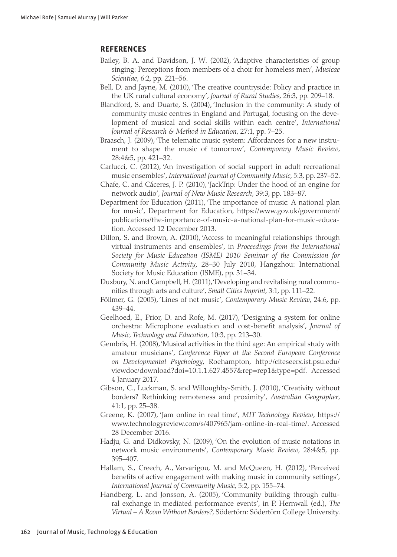# **REFERENCES**

- Bailey, B. A. and Davidson, J. W. (2002), 'Adaptive characteristics of group singing: Perceptions from members of a choir for homeless men', *Musicae Scientiae*, 6:2, pp. 221–56.
- Bell, D. and Jayne, M. (2010), 'The creative countryside: Policy and practice in the UK rural cultural economy', *Journal of Rural Studies*, 26:3, pp. 209–18.
- Blandford, S. and Duarte, S. (2004), 'Inclusion in the community: A study of community music centres in England and Portugal, focusing on the development of musical and social skills within each centre', *International Journal of Research & Method in Education*, 27:1, pp. 7–25.
- Braasch, J. (2009), 'The telematic music system: Affordances for a new instrument to shape the music of tomorrow', *Contemporary Music Review*, 28:4&5, pp. 421–32.
- Carlucci, C. (2012), 'An investigation of social support in adult recreational music ensembles', *International Journal of Community Music*, 5:3, pp. 237–52.
- Chafe, C. and Cáceres, J. P. (2010), 'JackTrip: Under the hood of an engine for network audio', *Journal of New Music Research*, 39:3, pp. 183–87.
- Department for Education (2011), 'The importance of music: A national plan for music', Department for Education, [https://www.gov.uk/government/](https://www.gov.uk/government/publications/the-importance-of-music-a-national-plan-for-music-education) [publications/the-importance-of-music-a-national-plan-for-music-educa](https://www.gov.uk/government/publications/the-importance-of-music-a-national-plan-for-music-education)[tion.](https://www.gov.uk/government/publications/the-importance-of-music-a-national-plan-for-music-education) Accessed 12 December 2013.
- Dillon, S. and Brown, A. (2010), 'Access to meaningful relationships through virtual instruments and ensembles', in *Proceedings from the International Society for Music Education (ISME) 2010 Seminar of the Commission for Community Music Activity*, 28–30 July 2010, Hangzhou: International Society for Music Education (ISME), pp. 31–34.
- Duxbury, N. and Campbell, H. (2011), 'Developing and revitalising rural communities through arts and culture', *Small Cities Imprint*, 3:1, pp. 111–22.
- Föllmer, G. (2005), 'Lines of net music', *Contemporary Music Review*, 24:6, pp. 439–44.
- Geelhoed, E., Prior, D. and Rofe, M. (2017), 'Designing a system for online orchestra: Microphone evaluation and cost-benefit analysis', *Journal of Music, Technology and Education*, 10:3, pp. 213–30.
- Gembris, H. (2008), 'Musical activities in the third age: An empirical study with amateur musicians', *Conference Paper at the Second European Conference on Developmental Psychology*, Roehampton, [http://citeseerx.ist.psu.edu/](http://citeseerx.ist.psu.edu/viewdoc/download?doi=10.1.1.627.4557﻿&﻿rep=rep1﻿&﻿type=pdf) [viewdoc/download?doi=10.1.1.627.4557&rep=rep1&type=pdf](http://citeseerx.ist.psu.edu/viewdoc/download?doi=10.1.1.627.4557﻿&﻿rep=rep1﻿&﻿type=pdf). Accessed 4 January 2017.
- Gibson, C., Luckman, S. and Willoughby-Smith, J. (2010), 'Creativity without borders? Rethinking remoteness and proximity', *Australian Geographer*, 41:1, pp. 25–38.
- Greene, K. (2007), 'Jam online in real time', *MIT Technology Review*, [https://](https://www.technologyreview.com/s/407965/jam-online-in-real-time/) [www.technologyreview.com/s/407965/jam-online-in-real-time/.](https://www.technologyreview.com/s/407965/jam-online-in-real-time/) Accessed 28 December 2016.
- Hadju, G. and Didkovsky, N. (2009), 'On the evolution of music notations in network music environments', *Contemporary Music Review*, 28:4&5, pp. 395–407.
- Hallam, S., Creech, A., Varvarigou, M. and McQueen, H. (2012), 'Perceived benefits of active engagement with making music in community settings', *International Journal of Community Music*, 5:2, pp. 155–74.
- Handberg, L. and Jonsson, A. (2005), 'Community building through cultural exchange in mediated performance events', in P. Hernwall (ed.), *The Virtual – A Room Without Borders?*, Södertörn: Södertörn College University.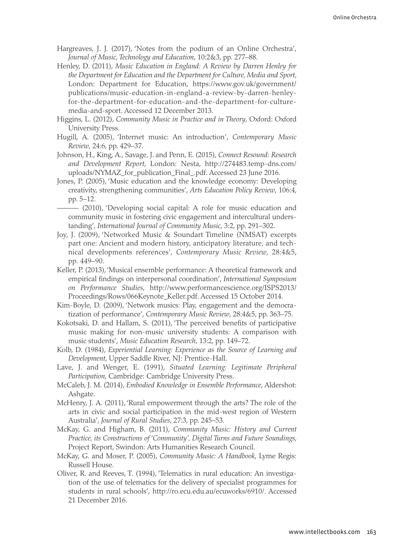- Hargreaves, J. J. (2017), 'Notes from the podium of an Online Orchestra', *Journal of Music, Technology and Education*, 10:2&3, pp. 277–88.
- Henley, D. (2011), *Music Education in England: A Review by Darren Henley for the Department for Education and the Department for Culture, Media and Sport*, London: Department for Education, [https://www.gov.uk/government/](https://www.gov.uk/government/publications/music-education-in-england-a-review-by-darren-henley-for-the-department-for-education-and-the-department-for-culture-media-and-sport) [publications/music-education-in-england-a-review-by-darren-henley](https://www.gov.uk/government/publications/music-education-in-england-a-review-by-darren-henley-for-the-department-for-education-and-the-department-for-culture-media-and-sport)[for-the-department-for-education-and-the-department-for-culture](https://www.gov.uk/government/publications/music-education-in-england-a-review-by-darren-henley-for-the-department-for-education-and-the-department-for-culture-media-and-sport)[media-and-sport](https://www.gov.uk/government/publications/music-education-in-england-a-review-by-darren-henley-for-the-department-for-education-and-the-department-for-culture-media-and-sport). Accessed 12 December 2013.
- Higgins, L. (2012), *Community Music in Practice and in Theory*, Oxford: Oxford University Press.
- Hugill, A. (2005), 'Internet music: An introduction', *Contemporary Music Review*, 24:6, pp. 429–37.
- Johnson, H., King, A., Savage, J. and Penn, E. (2015), *Connect Resound: Research and Development Report*, London: Nesta, [http://274483.temp-dns.com/](http://274483.temp-dns.com/uploads/NYMAZ_for_publication_Final_.pdf) [uploads/NYMAZ\\_for\\_publication\\_Final\\_.pdf.](http://274483.temp-dns.com/uploads/NYMAZ_for_publication_Final_.pdf) Accessed 23 June 2016.
- Jones, P. (2005), 'Music education and the knowledge economy: Developing creativity, strengthening communities', *Arts Education Policy Review*, 106:4, pp. 5–12.
- (2010), 'Developing social capital: A role for music education and community music in fostering civic engagement and intercultural understanding', *International Journal of Community Music*, 3:2, pp. 291–302.
- Joy, J. (2009), 'Networked Music & Soundart Timeline (NMSAT) excerpts part one: Ancient and modern history, anticipatory literature, and technical developments references', *Contemporary Music Review*, 28:4&5, pp. 449–90.
- Keller, P. (2013), 'Musical ensemble performance: A theoretical framework and empirical findings on interpersonal coordination', *International Symposium on Performance Studies*, [http://www.performancescience.org/ISPS2013/](http://www.performancescience.org/ISPS2013/Proceedings/Rows/066Keynote_Keller.pdf) [Proceedings/Rows/066Keynote\\_Keller.pdf](http://www.performancescience.org/ISPS2013/Proceedings/Rows/066Keynote_Keller.pdf). Accessed 15 October 2014.
- Kim-Boyle, D. (2009), 'Network musics: Play, engagement and the democratization of performance', *Contemporary Music Review*, 28:4&5, pp. 363–75.
- Kokotsaki, D. and Hallam, S. (2011), 'The perceived benefits of participative music making for non-music university students: A comparison with music students', *Music Education Research*, 13:2, pp. 149–72.
- Kolb, D. (1984), *Experiential Learning: Experience as the Source of Learning and Development*, Upper Saddle River, NJ: Prentice-Hall.
- Lave, J. and Wenger, E. (1991), *Situated Learning: Legitimate Peripheral Participation*, Cambridge: Cambridge University Press.
- McCaleb, J. M. (2014), *Embodied Knowledge in Ensemble Performance*, Aldershot: Ashgate.
- McHenry, J. A. (2011), 'Rural empowerment through the arts? The role of the arts in civic and social participation in the mid-west region of Western Australia', *Journal of Rural Studies*, 27:3, pp. 245–53.
- McKay, G. and Higham, B. (2011), *Community Music: History and Current Practice, its Constructions of 'Community', Digital Turns and Future Soundings*, Project Report, Swindon: Arts Humanities Research Council.
- McKay, G. and Moser, P. (2005), *Community Music: A Handbook*, Lyme Regis: Russell House.
- Oliver, R. and Reeves, T. (1994), 'Telematics in rural education: An investigation of the use of telematics for the delivery of specialist programmes for students in rural schools', <http://ro.ecu.edu.au/ecuworks/6910/>. Accessed 21 December 2016.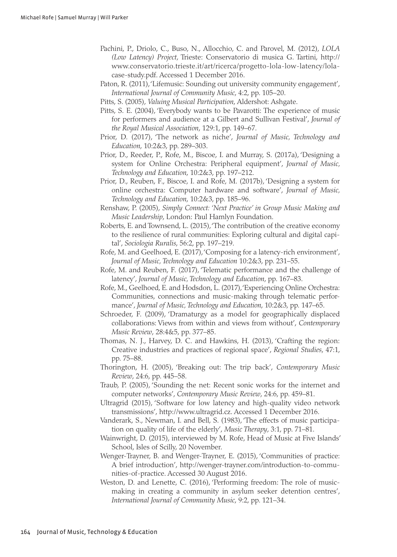- Pachini, P., Driolo, C., Buso, N., Allocchio, C. and Parovel, M. (2012), *LOLA (Low Latency) Project*, Trieste: Conservatorio di musica G. Tartini, [http://](http://www.conservatorio.trieste.it/art/ricerca/progetto-lola-low-latency/lola-case-study.pdf) [www.conservatorio.trieste.it/art/ricerca/progetto-lola-low-latency/lola](http://www.conservatorio.trieste.it/art/ricerca/progetto-lola-low-latency/lola-case-study.pdf)[case-study.pdf.](http://www.conservatorio.trieste.it/art/ricerca/progetto-lola-low-latency/lola-case-study.pdf) Accessed 1 December 2016.
- Paton, R. (2011), 'Lifemusic: Sounding out university community engagement', *International Journal of Community Music*, 4:2, pp. 105–20.
- Pitts, S. (2005), *Valuing Musical Participation*, Aldershot: Ashgate.
- Pitts, S. E. (2004), 'Everybody wants to be Pavarotti: The experience of music for performers and audience at a Gilbert and Sullivan Festival', *Journal of the Royal Musical Association*, 129:1, pp. 149–67.
- Prior, D. (2017), 'The network as niche', *Journal of Music, Technology and Education*, 10:2&3, pp. 289–303.
- Prior, D., Reeder, P., Rofe, M., Biscoe, I. and Murray, S. (2017a), 'Designing a system for Online Orchestra: Peripheral equipment', *Journal of Music, Technology and Education*, 10:2&3, pp. 197–212.
- Prior, D., Reuben, F., Biscoe, I. and Rofe, M. (2017b), 'Designing a system for online orchestra: Computer hardware and software', *Journal of Music, Technology and Education*, 10:2&3, pp. 185–96.
- Renshaw, P. (2005), *Simply Connect: 'Next Practice' in Group Music Making and Music Leadership*, London: Paul Hamlyn Foundation.
- Roberts, E. and Townsend, L. (2015), 'The contribution of the creative economy to the resilience of rural communities: Exploring cultural and digital capital', *Sociologia Ruralis*, 56:2, pp. 197–219.
- Rofe, M. and Geelhoed, E. (2017), 'Composing for a latency-rich environment', *Journal of Music, Technology and Education* 10:2&3, pp. 231–55.
- Rofe, M. and Reuben, F. (2017), 'Telematic performance and the challenge of latency', *Journal of Music, Technology and Education*, pp. 167–83.
- Rofe, M., Geelhoed, E. and Hodsdon, L. (2017), 'Experiencing Online Orchestra: Communities, connections and music-making through telematic performance', *Journal of Music, Technology and Education*, 10:2&3, pp. 147–65.
- Schroeder, F. (2009), 'Dramaturgy as a model for geographically displaced collaborations: Views from within and views from without', *Contemporary Music Review*, 28:4&5, pp. 377–85.
- Thomas, N. J., Harvey, D. C. and Hawkins, H. (2013), 'Crafting the region: Creative industries and practices of regional space', *Regional Studies*, 47:1, pp. 75–88.
- Thorington, H. (2005), 'Breaking out: The trip back', *Contemporary Music Review*, 24:6, pp. 445–58.
- Traub, P. (2005), 'Sounding the net: Recent sonic works for the internet and computer networks', *Contemporary Music Review*, 24:6, pp. 459–81.
- Ultragrid (2015), 'Software for low latency and high-quality video network transmissions', [http://www.ultragrid.cz.](http://www.ultragrid.cz) Accessed 1 December 2016.
- Vanderark, S., Newman, I. and Bell, S. (1983), 'The effects of music participation on quality of life of the elderly', *Music Therapy*, 3:1, pp. 71–81.
- Wainwright, D. (2015), interviewed by M. Rofe, Head of Music at Five Islands' School, Isles of Scilly, 20 November.
- Wenger-Trayner, B. and Wenger-Trayner, E. (2015), 'Communities of practice: A brief introduction', [http://wenger-trayner.com/introduction-to-commu](http://wenger-trayner.com/introduction-to-communities-of-practice)[nities-of-practice](http://wenger-trayner.com/introduction-to-communities-of-practice). Accessed 30 August 2016.
- Weston, D. and Lenette, C. (2016), 'Performing freedom: The role of musicmaking in creating a community in asylum seeker detention centres', *International Journal of Community Music*, 9:2, pp. 121–34.